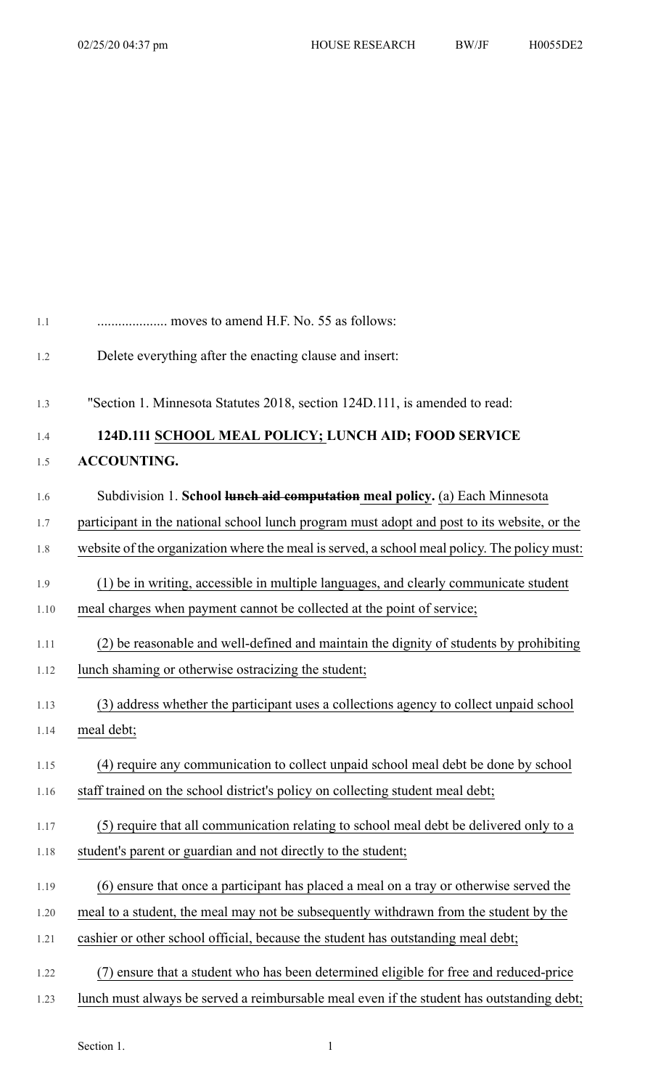| 1.1  | moves to amend H.F. No. 55 as follows:                                                       |
|------|----------------------------------------------------------------------------------------------|
| 1.2  | Delete everything after the enacting clause and insert:                                      |
| 1.3  | "Section 1. Minnesota Statutes 2018, section 124D.111, is amended to read:                   |
| 1.4  | 124D.111 SCHOOL MEAL POLICY; LUNCH AID; FOOD SERVICE                                         |
| 1.5  | <b>ACCOUNTING.</b>                                                                           |
| 1.6  | Subdivision 1. School lunch aid computation meal policy. (a) Each Minnesota                  |
| 1.7  | participant in the national school lunch program must adopt and post to its website, or the  |
| 1.8  | website of the organization where the meal is served, a school meal policy. The policy must: |
| 1.9  | (1) be in writing, accessible in multiple languages, and clearly communicate student         |
| 1.10 | meal charges when payment cannot be collected at the point of service;                       |
| 1.11 | (2) be reasonable and well-defined and maintain the dignity of students by prohibiting       |
| 1.12 | lunch shaming or otherwise ostracizing the student;                                          |
| 1.13 | (3) address whether the participant uses a collections agency to collect unpaid school       |
| 1.14 | meal debt;                                                                                   |
| 1.15 | (4) require any communication to collect unpaid school meal debt be done by school           |
| 1.16 | staff trained on the school district's policy on collecting student meal debt;               |
| 1.17 | (5) require that all communication relating to school meal debt be delivered only to a       |
| 1.18 | student's parent or guardian and not directly to the student;                                |
| 1.19 | (6) ensure that once a participant has placed a meal on a tray or otherwise served the       |
| 1.20 | meal to a student, the meal may not be subsequently withdrawn from the student by the        |
| 1.21 | cashier or other school official, because the student has outstanding meal debt;             |
| 1.22 | ensure that a student who has been determined eligible for free and reduced-price            |
| 1.23 | lunch must always be served a reimbursable meal even if the student has outstanding debt;    |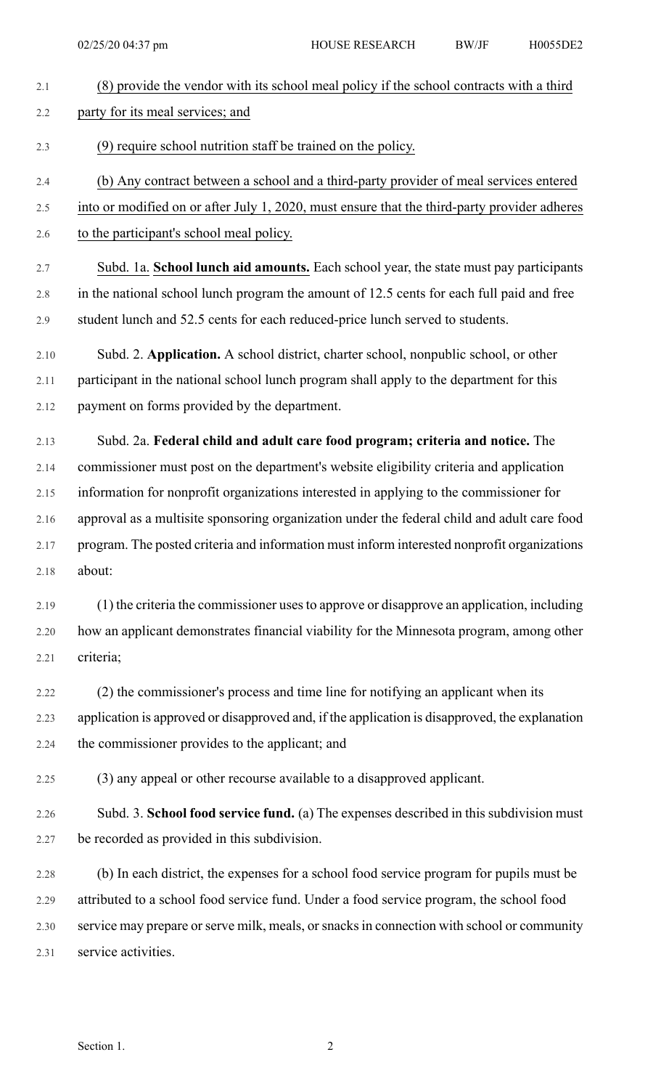| 2.1  | (8) provide the vendor with its school meal policy if the school contracts with a third        |
|------|------------------------------------------------------------------------------------------------|
| 2.2  | party for its meal services; and                                                               |
| 2.3  | (9) require school nutrition staff be trained on the policy.                                   |
| 2.4  | (b) Any contract between a school and a third-party provider of meal services entered          |
| 2.5  | into or modified on or after July 1, 2020, must ensure that the third-party provider adheres   |
| 2.6  | to the participant's school meal policy.                                                       |
| 2.7  | Subd. 1a. School lunch aid amounts. Each school year, the state must pay participants          |
| 2.8  | in the national school lunch program the amount of 12.5 cents for each full paid and free      |
| 2.9  | student lunch and 52.5 cents for each reduced-price lunch served to students.                  |
| 2.10 | Subd. 2. Application. A school district, charter school, nonpublic school, or other            |
| 2.11 | participant in the national school lunch program shall apply to the department for this        |
| 2.12 | payment on forms provided by the department.                                                   |
| 2.13 | Subd. 2a. Federal child and adult care food program; criteria and notice. The                  |
| 2.14 | commissioner must post on the department's website eligibility criteria and application        |
| 2.15 | information for nonprofit organizations interested in applying to the commissioner for         |
| 2.16 | approval as a multisite sponsoring organization under the federal child and adult care food    |
| 2.17 | program. The posted criteria and information must inform interested nonprofit organizations    |
| 2.18 | about:                                                                                         |
| 2.19 | (1) the criteria the commissioner uses to approve or disapprove an application, including      |
| 2.20 | how an applicant demonstrates financial viability for the Minnesota program, among other       |
| 2.21 | criteria;                                                                                      |
| 2.22 | (2) the commissioner's process and time line for notifying an applicant when its               |
| 2.23 | application is approved or disapproved and, if the application is disapproved, the explanation |
| 2.24 | the commissioner provides to the applicant; and                                                |
| 2.25 | (3) any appeal or other recourse available to a disapproved applicant.                         |
| 2.26 | Subd. 3. School food service fund. (a) The expenses described in this subdivision must         |
| 2.27 | be recorded as provided in this subdivision.                                                   |
| 2.28 | (b) In each district, the expenses for a school food service program for pupils must be        |
| 2.29 | attributed to a school food service fund. Under a food service program, the school food        |
| 2.30 | service may prepare or serve milk, meals, or snacks in connection with school or community     |
| 2.31 | service activities.                                                                            |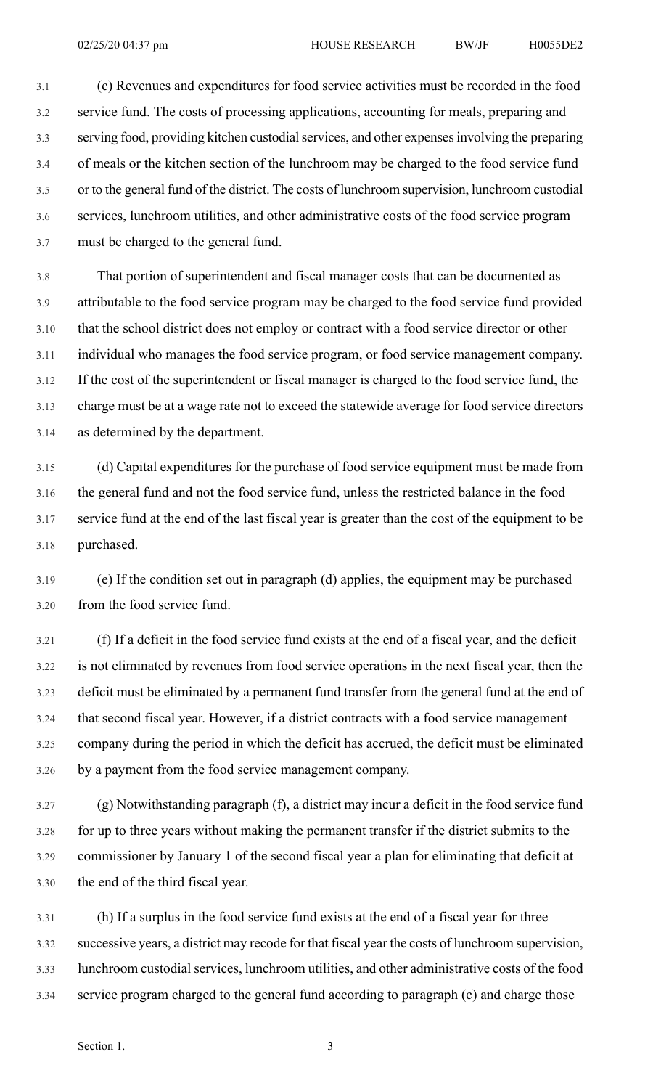3.1 (c) Revenues and expenditures for food service activities must be recorded in the food 3.2 service fund. The costs of processing applications, accounting for meals, preparing and 3.3 serving food, providing kitchen custodialservices, and other expensesinvolving the preparing 3.4 of meals or the kitchen section of the lunchroom may be charged to the food service fund 3.5 or to the general fund of the district. The costs of lunchroom supervision, lunchroom custodial 3.6 services, lunchroom utilities, and other administrative costs of the food service program 3.7 must be charged to the general fund.

3.8 That portion of superintendent and fiscal manager costs that can be documented as 3.9 attributable to the food service program may be charged to the food service fund provided 3.10 that the school district does not employ or contract with a food service director or other 3.11 individual who manages the food service program, or food service management company. 3.12 If the cost of the superintendent or fiscal manager is charged to the food service fund, the 3.13 charge must be at a wage rate not to exceed the statewide average for food service directors 3.14 as determined by the department.

3.15 (d) Capital expenditures for the purchase of food service equipment must be made from 3.16 the general fund and not the food service fund, unless the restricted balance in the food 3.17 service fund at the end of the last fiscal year is greater than the cost of the equipment to be 3.18 purchased.

3.19 (e) If the condition set out in paragraph (d) applies, the equipment may be purchased 3.20 from the food service fund.

3.21 (f) If a deficit in the food service fund exists at the end of a fiscal year, and the deficit 3.22 is not eliminated by revenues from food service operations in the next fiscal year, then the 3.23 deficit must be eliminated by a permanent fund transfer from the general fund at the end of 3.24 that second fiscal year. However, if a district contracts with a food service management 3.25 company during the period in which the deficit has accrued, the deficit must be eliminated 3.26 by a payment from the food service management company.

3.27 (g) Notwithstanding paragraph (f), a district may incur a deficit in the food service fund 3.28 for up to three years without making the permanent transfer if the district submits to the 3.29 commissioner by January 1 of the second fiscal year a plan for eliminating that deficit at 3.30 the end of the third fiscal year.

3.31 (h) If a surplus in the food service fund exists at the end of a fiscal year for three 3.32 successive years, a district may recode for that fiscal year the costs of lunchroom supervision, 3.33 lunchroom custodial services, lunchroom utilities, and other administrative costs of the food 3.34 service program charged to the general fund according to paragraph (c) and charge those